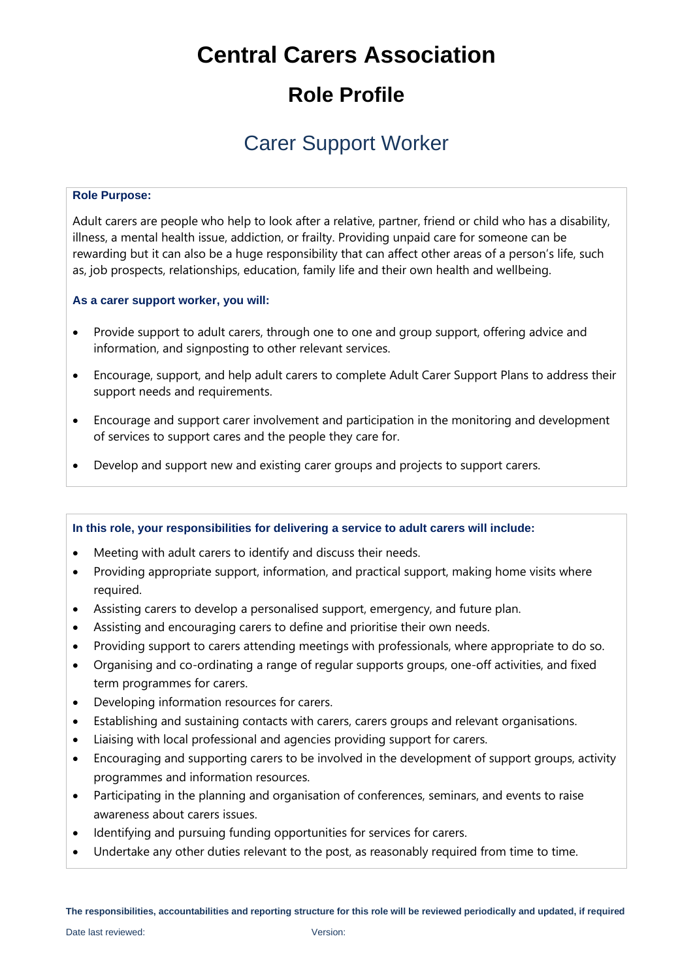# **Central Carers Association**

## **Role Profile**

## Carer Support Worker

### **Role Purpose:**

Adult carers are people who help to look after a relative, partner, friend or child who has a disability, illness, a mental health issue, addiction, or frailty. Providing unpaid care for someone can be rewarding but it can also be a huge responsibility that can affect other areas of a person's life, such as, job prospects, relationships, education, family life and their own health and wellbeing.

## **As a carer support worker, you will:**

- Provide support to adult carers, through one to one and group support, offering advice and information, and signposting to other relevant services.
- Encourage, support, and help adult carers to complete Adult Carer Support Plans to address their support needs and requirements.
- Encourage and support carer involvement and participation in the monitoring and development of services to support cares and the people they care for.
- Develop and support new and existing carer groups and projects to support carers.

## **In this role, your responsibilities for delivering a service to adult carers will include:**

- Meeting with adult carers to identify and discuss their needs.
- Providing appropriate support, information, and practical support, making home visits where required.
- Assisting carers to develop a personalised support, emergency, and future plan.
- Assisting and encouraging carers to define and prioritise their own needs.
- Providing support to carers attending meetings with professionals, where appropriate to do so.
- Organising and co-ordinating a range of regular supports groups, one-off activities, and fixed term programmes for carers.
- Developing information resources for carers.
- Establishing and sustaining contacts with carers, carers groups and relevant organisations.
- Liaising with local professional and agencies providing support for carers.
- Encouraging and supporting carers to be involved in the development of support groups, activity programmes and information resources.
- Participating in the planning and organisation of conferences, seminars, and events to raise awareness about carers issues.
- Identifying and pursuing funding opportunities for services for carers.
- Undertake any other duties relevant to the post, as reasonably required from time to time.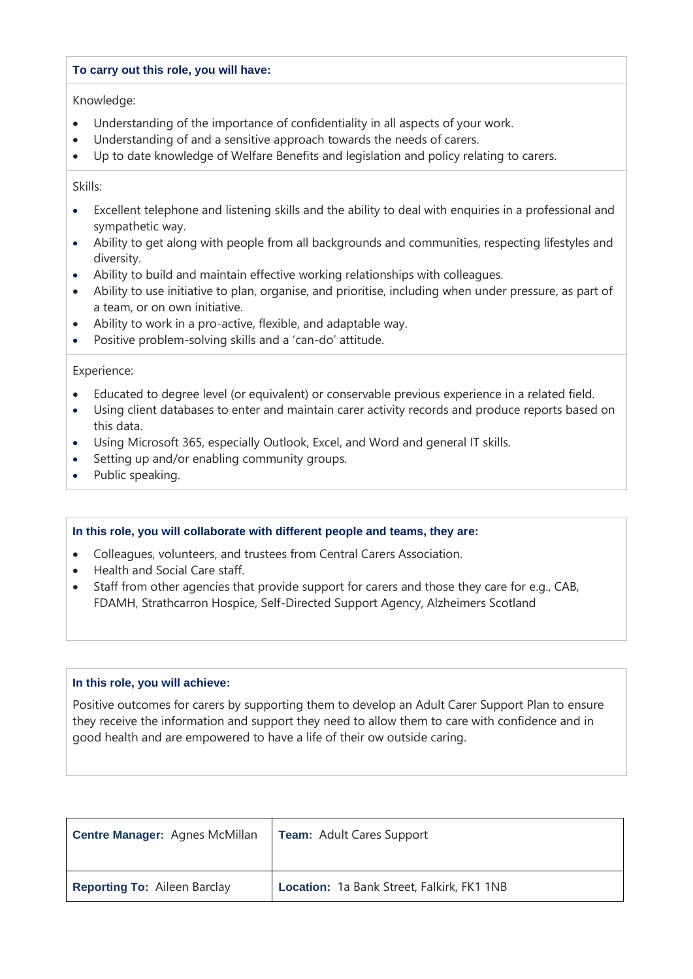#### **To carry out this role, you will have:**

Knowledge:

- Understanding of the importance of confidentiality in all aspects of your work.
- Understanding of and a sensitive approach towards the needs of carers.
- Up to date knowledge of Welfare Benefits and legislation and policy relating to carers.

Skills:

- Excellent telephone and listening skills and the ability to deal with enquiries in a professional and sympathetic way.
- Ability to get along with people from all backgrounds and communities, respecting lifestyles and diversity.
- Ability to build and maintain effective working relationships with colleagues.
- Ability to use initiative to plan, organise, and prioritise, including when under pressure, as part of a team, or on own initiative.
- Ability to work in a pro-active, flexible, and adaptable way.
- Positive problem-solving skills and a 'can-do' attitude.

Experience:

- Educated to degree level (or equivalent) or conservable previous experience in a related field.
- Using client databases to enter and maintain carer activity records and produce reports based on this data.
- Using Microsoft 365, especially Outlook, Excel, and Word and general IT skills.
- Setting up and/or enabling community groups.
- Public speaking.

#### **In this role, you will collaborate with different people and teams, they are:**

- Colleagues, volunteers, and trustees from Central Carers Association.
- Health and Social Care staff.
- Staff from other agencies that provide support for carers and those they care for e.g., CAB, FDAMH, Strathcarron Hospice, Self-Directed Support Agency, Alzheimers Scotland

### **In this role, you will achieve:**

Positive outcomes for carers by supporting them to develop an Adult Carer Support Plan to ensure they receive the information and support they need to allow them to care with confidence and in good health and are empowered to have a life of their ow outside caring.

| <b>Centre Manager: Agnes McMillan</b> | Team: Adult Cares Support                  |
|---------------------------------------|--------------------------------------------|
| <b>Reporting To: Aileen Barclay</b>   | Location: 1a Bank Street, Falkirk, FK1 1NB |